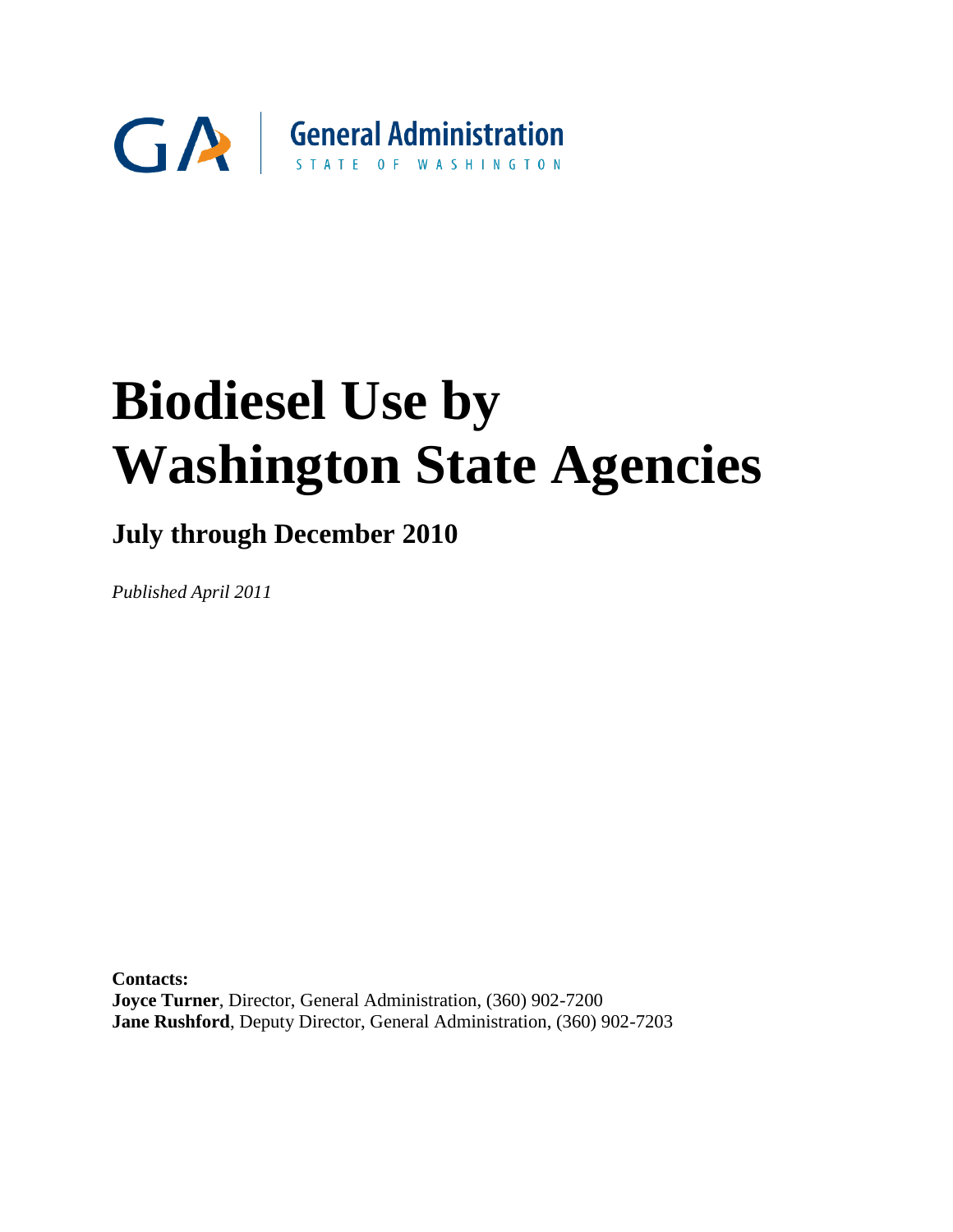

## **July through December 2010**

*Published April 2011* 

**Contacts: Joyce Turner**, Director, General Administration, (360) 902-7200 **Jane Rushford**, Deputy Director, General Administration, (360) 902-7203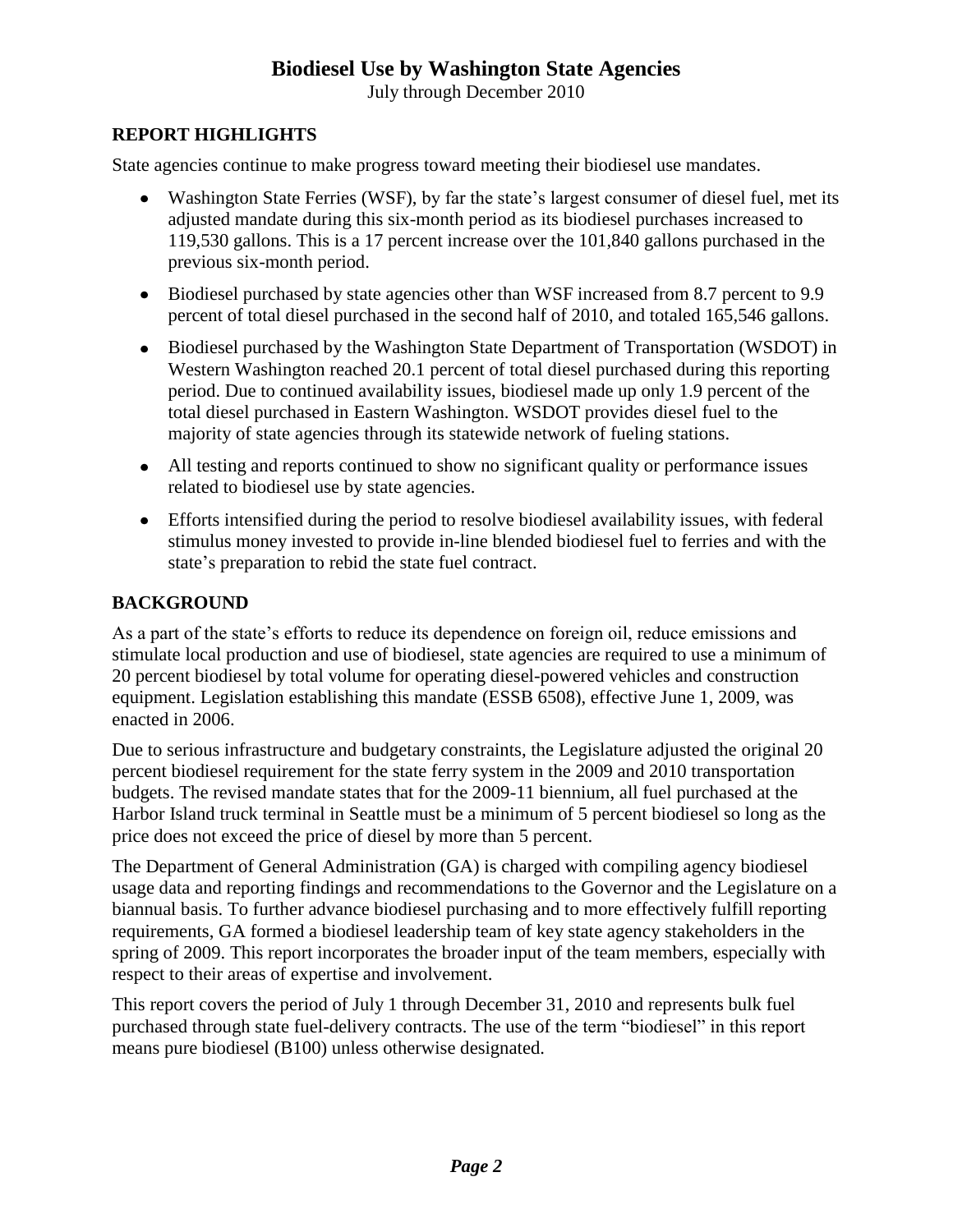July through December 2010

#### **REPORT HIGHLIGHTS**

State agencies continue to make progress toward meeting their biodiesel use mandates.

- Washington State Ferries (WSF), by far the state's largest consumer of diesel fuel, met its adjusted mandate during this six-month period as its biodiesel purchases increased to 119,530 gallons. This is a 17 percent increase over the 101,840 gallons purchased in the previous six-month period.
- Biodiesel purchased by state agencies other than WSF increased from 8.7 percent to 9.9 percent of total diesel purchased in the second half of 2010, and totaled 165,546 gallons.
- Biodiesel purchased by the Washington State Department of Transportation (WSDOT) in Western Washington reached 20.1 percent of total diesel purchased during this reporting period. Due to continued availability issues, biodiesel made up only 1.9 percent of the total diesel purchased in Eastern Washington. WSDOT provides diesel fuel to the majority of state agencies through its statewide network of fueling stations.
- All testing and reports continued to show no significant quality or performance issues related to biodiesel use by state agencies.
- Efforts intensified during the period to resolve biodiesel availability issues, with federal stimulus money invested to provide in-line blended biodiesel fuel to ferries and with the state's preparation to rebid the state fuel contract.

#### **BACKGROUND**

As a part of the state's efforts to reduce its dependence on foreign oil, reduce emissions and stimulate local production and use of biodiesel, state agencies are required to use a minimum of 20 percent biodiesel by total volume for operating diesel-powered vehicles and construction equipment. Legislation establishing this mandate (ESSB 6508), effective June 1, 2009, was enacted in 2006.

Due to serious infrastructure and budgetary constraints, the Legislature adjusted the original 20 percent biodiesel requirement for the state ferry system in the 2009 and 2010 transportation budgets. The revised mandate states that for the 2009-11 biennium, all fuel purchased at the Harbor Island truck terminal in Seattle must be a minimum of 5 percent biodiesel so long as the price does not exceed the price of diesel by more than 5 percent.

The Department of General Administration (GA) is charged with compiling agency biodiesel usage data and reporting findings and recommendations to the Governor and the Legislature on a biannual basis. To further advance biodiesel purchasing and to more effectively fulfill reporting requirements, GA formed a biodiesel leadership team of key state agency stakeholders in the spring of 2009. This report incorporates the broader input of the team members, especially with respect to their areas of expertise and involvement.

This report covers the period of July 1 through December 31, 2010 and represents bulk fuel purchased through state fuel-delivery contracts. The use of the term "biodiesel" in this report means pure biodiesel (B100) unless otherwise designated.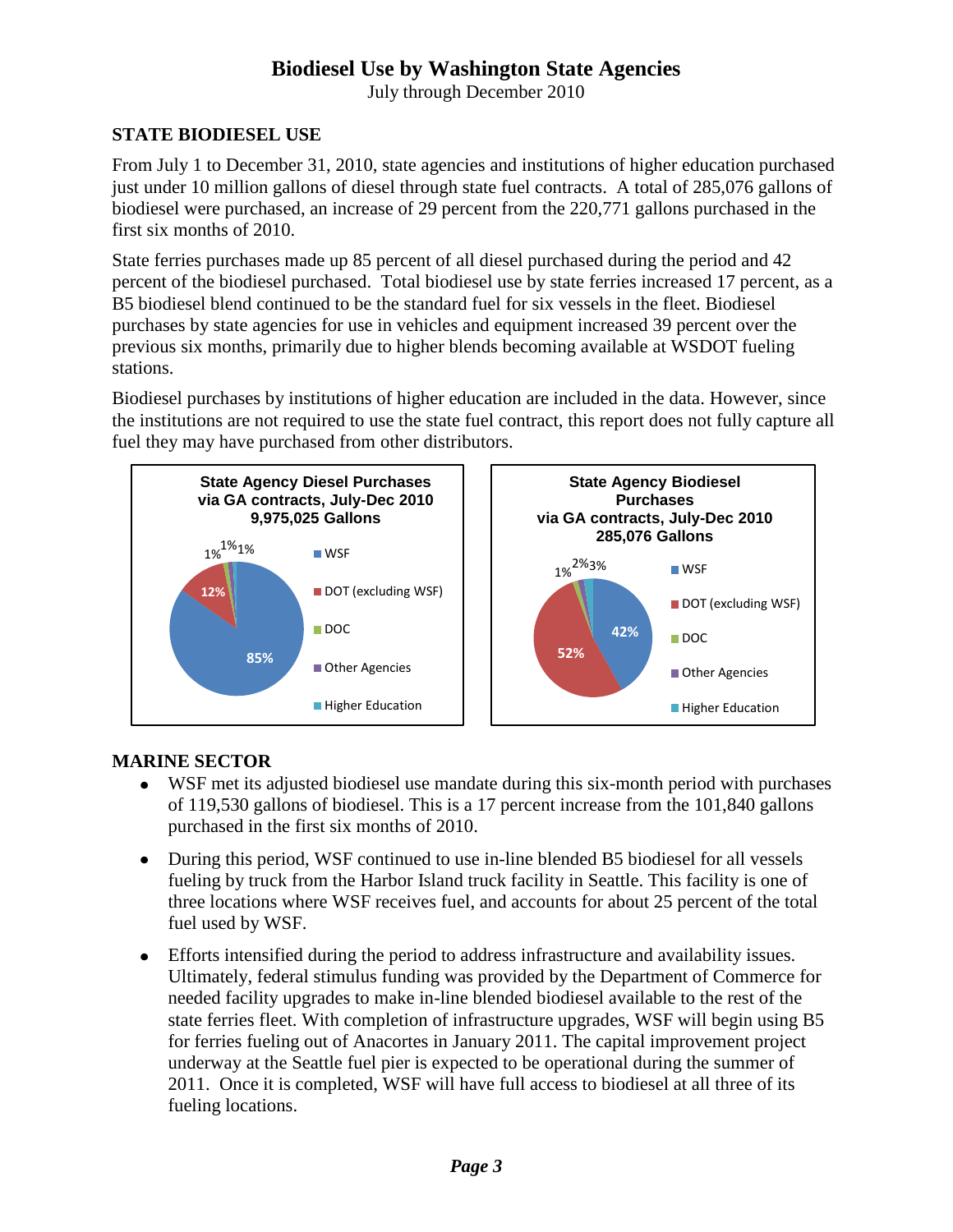July through December 2010

#### **STATE BIODIESEL USE**

From July 1 to December 31, 2010, state agencies and institutions of higher education purchased just under 10 million gallons of diesel through state fuel contracts. A total of 285,076 gallons of biodiesel were purchased, an increase of 29 percent from the 220,771 gallons purchased in the first six months of 2010.

State ferries purchases made up 85 percent of all diesel purchased during the period and 42 percent of the biodiesel purchased. Total biodiesel use by state ferries increased 17 percent, as a B5 biodiesel blend continued to be the standard fuel for six vessels in the fleet. Biodiesel purchases by state agencies for use in vehicles and equipment increased 39 percent over the previous six months, primarily due to higher blends becoming available at WSDOT fueling stations.

Biodiesel purchases by institutions of higher education are included in the data. However, since the institutions are not required to use the state fuel contract, this report does not fully capture all fuel they may have purchased from other distributors.



#### **MARINE SECTOR**

- WSF met its adjusted biodiesel use mandate during this six-month period with purchases  $\bullet$ of 119,530 gallons of biodiesel. This is a 17 percent increase from the 101,840 gallons purchased in the first six months of 2010.
- During this period, WSF continued to use in-line blended B5 biodiesel for all vessels fueling by truck from the Harbor Island truck facility in Seattle. This facility is one of three locations where WSF receives fuel, and accounts for about 25 percent of the total fuel used by WSF.
- Efforts intensified during the period to address infrastructure and availability issues. Ultimately, federal stimulus funding was provided by the Department of Commerce for needed facility upgrades to make in-line blended biodiesel available to the rest of the state ferries fleet. With completion of infrastructure upgrades, WSF will begin using B5 for ferries fueling out of Anacortes in January 2011. The capital improvement project underway at the Seattle fuel pier is expected to be operational during the summer of 2011. Once it is completed, WSF will have full access to biodiesel at all three of its fueling locations.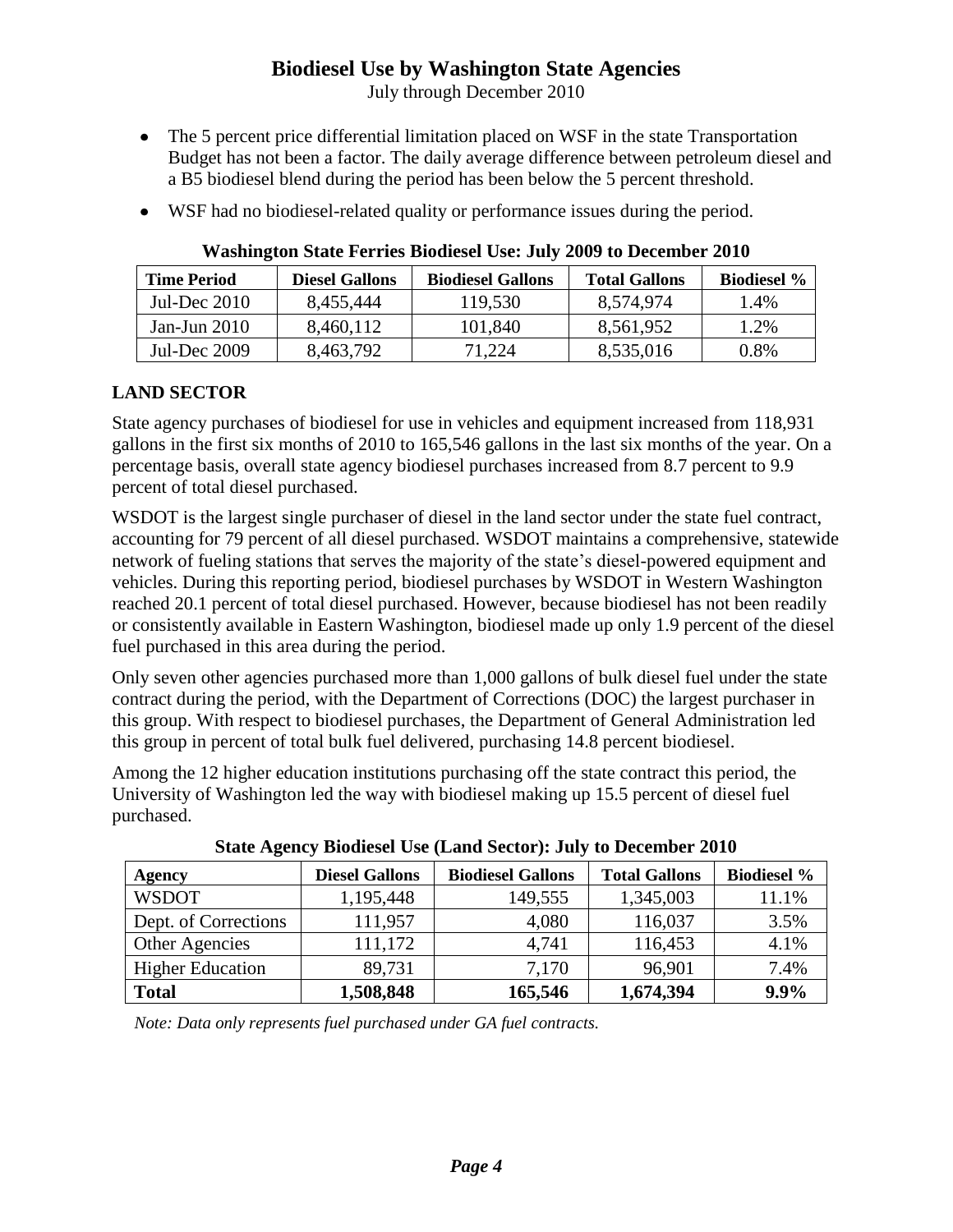July through December 2010

- The 5 percent price differential limitation placed on WSF in the state Transportation Budget has not been a factor. The daily average difference between petroleum diesel and a B5 biodiesel blend during the period has been below the 5 percent threshold.
- WSF had no biodiesel-related quality or performance issues during the period.

| <b>Time Period</b> | <b>Diesel Gallons</b> | <b>Biodiesel Gallons</b> | <b>Total Gallons</b> | <b>Biodiesel</b> % |
|--------------------|-----------------------|--------------------------|----------------------|--------------------|
| Jul-Dec $2010$     | 8,455,444             | 119,530                  | 8,574,974            | 1.4%               |
| Jan-Jun $2010$     | 8,460,112             | 101,840                  | 8,561,952            | 1.2%               |
| Jul-Dec 2009       | 8,463,792             | 71,224                   | 8,535,016            | 0.8%               |

#### **Washington State Ferries Biodiesel Use: July 2009 to December 2010**

#### **LAND SECTOR**

State agency purchases of biodiesel for use in vehicles and equipment increased from 118,931 gallons in the first six months of 2010 to 165,546 gallons in the last six months of the year. On a percentage basis, overall state agency biodiesel purchases increased from 8.7 percent to 9.9 percent of total diesel purchased.

WSDOT is the largest single purchaser of diesel in the land sector under the state fuel contract, accounting for 79 percent of all diesel purchased. WSDOT maintains a comprehensive, statewide network of fueling stations that serves the majority of the state's diesel-powered equipment and vehicles. During this reporting period, biodiesel purchases by WSDOT in Western Washington reached 20.1 percent of total diesel purchased. However, because biodiesel has not been readily or consistently available in Eastern Washington, biodiesel made up only 1.9 percent of the diesel fuel purchased in this area during the period.

Only seven other agencies purchased more than 1,000 gallons of bulk diesel fuel under the state contract during the period, with the Department of Corrections (DOC) the largest purchaser in this group. With respect to biodiesel purchases, the Department of General Administration led this group in percent of total bulk fuel delivered, purchasing 14.8 percent biodiesel.

Among the 12 higher education institutions purchasing off the state contract this period, the University of Washington led the way with biodiesel making up 15.5 percent of diesel fuel purchased.

| Agency                  | <b>Diesel Gallons</b> | <b>Biodiesel Gallons</b> | <b>Total Gallons</b> | <b>Biodiesel %</b> |  |  |  |
|-------------------------|-----------------------|--------------------------|----------------------|--------------------|--|--|--|
| <b>WSDOT</b>            | 1,195,448             | 149,555                  | 1,345,003            | 11.1%              |  |  |  |
| Dept. of Corrections    | 111,957               | 4,080                    | 116,037              | 3.5%               |  |  |  |
| Other Agencies          | 111,172               | 4,741                    | 116,453              | 4.1%               |  |  |  |
| <b>Higher Education</b> | 89,731                | 7,170                    | 96,901               | 7.4%               |  |  |  |
| <b>Total</b>            | 1,508,848             | 165,546                  | 1,674,394            | 9.9%               |  |  |  |

**State Agency Biodiesel Use (Land Sector): July to December 2010**

*Note: Data only represents fuel purchased under GA fuel contracts.*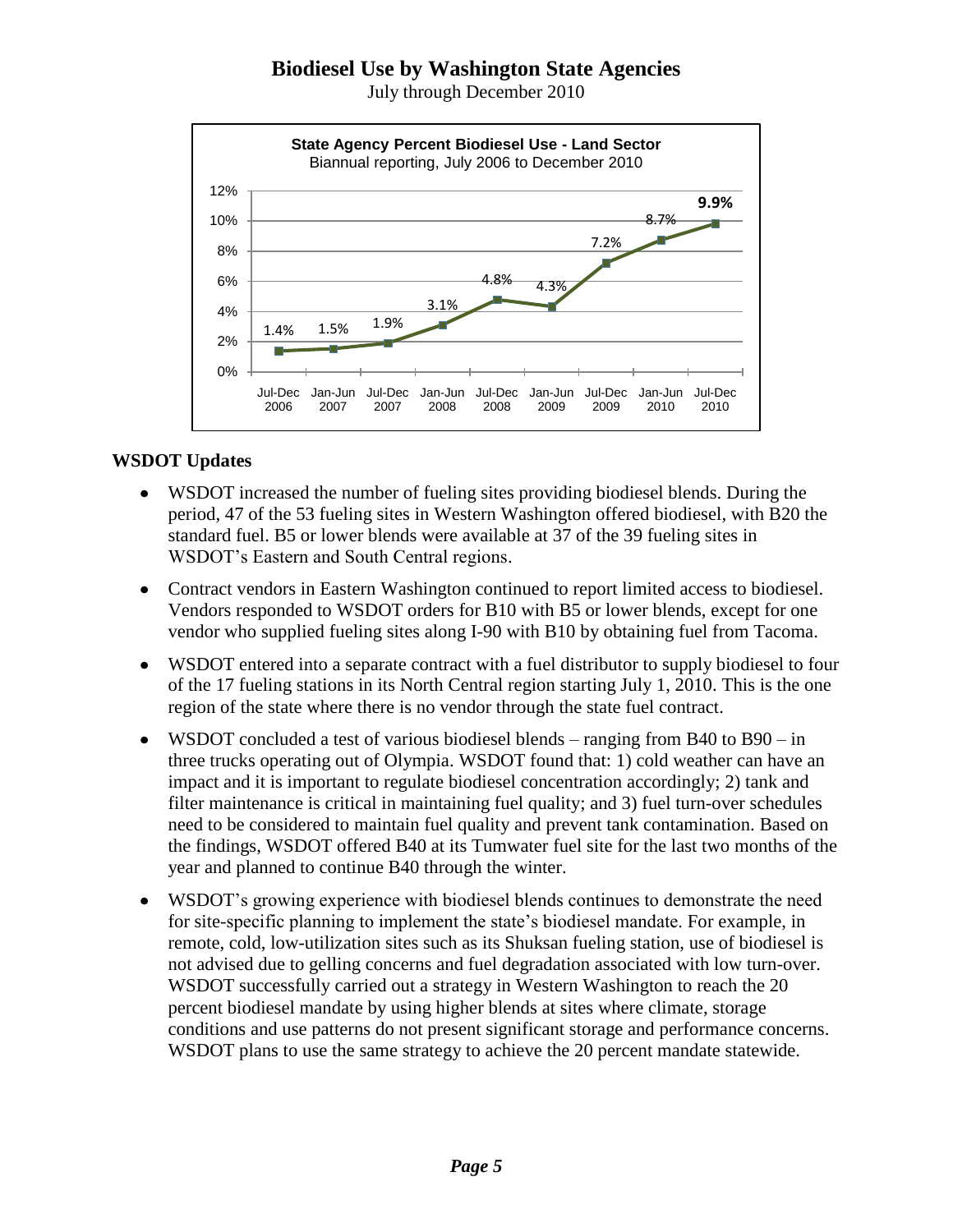July through December 2010



#### **WSDOT Updates**

- WSDOT increased the number of fueling sites providing biodiesel blends. During the period, 47 of the 53 fueling sites in Western Washington offered biodiesel, with B20 the standard fuel. B5 or lower blends were available at 37 of the 39 fueling sites in WSDOT's Eastern and South Central regions.
- Contract vendors in Eastern Washington continued to report limited access to biodiesel.  $\bullet$ Vendors responded to WSDOT orders for B10 with B5 or lower blends, except for one vendor who supplied fueling sites along I-90 with B10 by obtaining fuel from Tacoma.
- WSDOT entered into a separate contract with a fuel distributor to supply biodiesel to four  $\bullet$ of the 17 fueling stations in its North Central region starting July 1, 2010. This is the one region of the state where there is no vendor through the state fuel contract.
- WSDOT concluded a test of various biodiesel blends ranging from B40 to B90 in  $\bullet$ three trucks operating out of Olympia. WSDOT found that: 1) cold weather can have an impact and it is important to regulate biodiesel concentration accordingly; 2) tank and filter maintenance is critical in maintaining fuel quality; and 3) fuel turn-over schedules need to be considered to maintain fuel quality and prevent tank contamination. Based on the findings, WSDOT offered B40 at its Tumwater fuel site for the last two months of the year and planned to continue B40 through the winter.
- WSDOT's growing experience with biodiesel blends continues to demonstrate the need for site-specific planning to implement the state's biodiesel mandate. For example, in remote, cold, low-utilization sites such as its Shuksan fueling station, use of biodiesel is not advised due to gelling concerns and fuel degradation associated with low turn-over. WSDOT successfully carried out a strategy in Western Washington to reach the 20 percent biodiesel mandate by using higher blends at sites where climate, storage conditions and use patterns do not present significant storage and performance concerns. WSDOT plans to use the same strategy to achieve the 20 percent mandate statewide.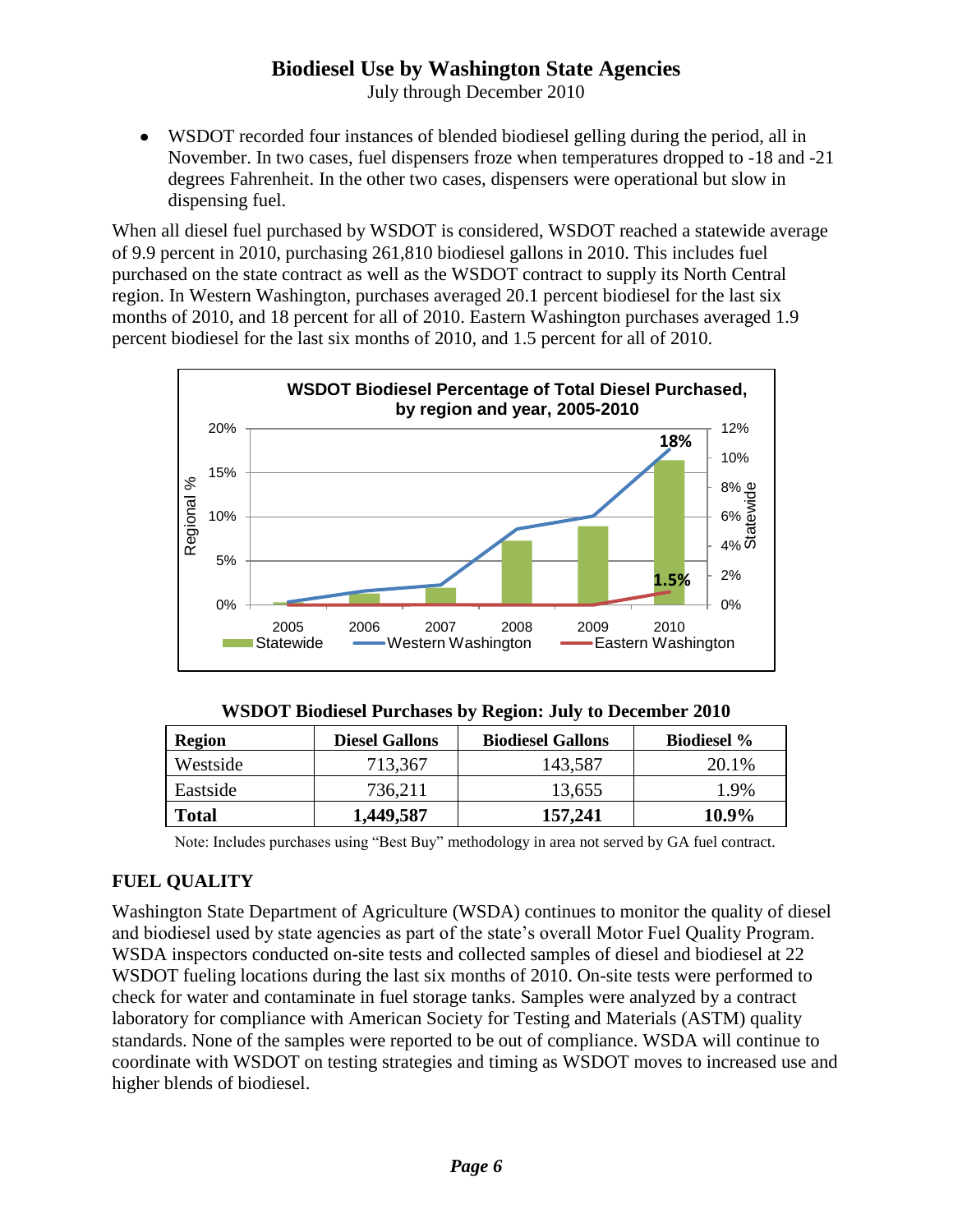July through December 2010

WSDOT recorded four instances of blended biodiesel gelling during the period, all in November. In two cases, fuel dispensers froze when temperatures dropped to -18 and -21 degrees Fahrenheit. In the other two cases, dispensers were operational but slow in dispensing fuel.

When all diesel fuel purchased by WSDOT is considered, WSDOT reached a statewide average of 9.9 percent in 2010, purchasing 261,810 biodiesel gallons in 2010. This includes fuel purchased on the state contract as well as the WSDOT contract to supply its North Central region. In Western Washington, purchases averaged 20.1 percent biodiesel for the last six months of 2010, and 18 percent for all of 2010. Eastern Washington purchases averaged 1.9 percent biodiesel for the last six months of 2010, and 1.5 percent for all of 2010.



**WSDOT Biodiesel Purchases by Region: July to December 2010**

| Region       | <b>Diesel Gallons</b> | <b>Biodiesel Gallons</b> | <b>Biodiesel</b> % |
|--------------|-----------------------|--------------------------|--------------------|
| Westside     | 713,367               | 143,587                  | 20.1%              |
| Eastside     | 736,211               | 13,655                   | .9%                |
| <b>Total</b> | 1,449,587             | 157.241                  | 10.9%              |

Note: Includes purchases using "Best Buy" methodology in area not served by GA fuel contract.

## **FUEL QUALITY**

Washington State Department of Agriculture (WSDA) continues to monitor the quality of diesel and biodiesel used by state agencies as part of the state's overall Motor Fuel Quality Program. WSDA inspectors conducted on-site tests and collected samples of diesel and biodiesel at 22 WSDOT fueling locations during the last six months of 2010. On-site tests were performed to check for water and contaminate in fuel storage tanks. Samples were analyzed by a contract laboratory for compliance with American Society for Testing and Materials (ASTM) quality standards. None of the samples were reported to be out of compliance. WSDA will continue to coordinate with WSDOT on testing strategies and timing as WSDOT moves to increased use and higher blends of biodiesel.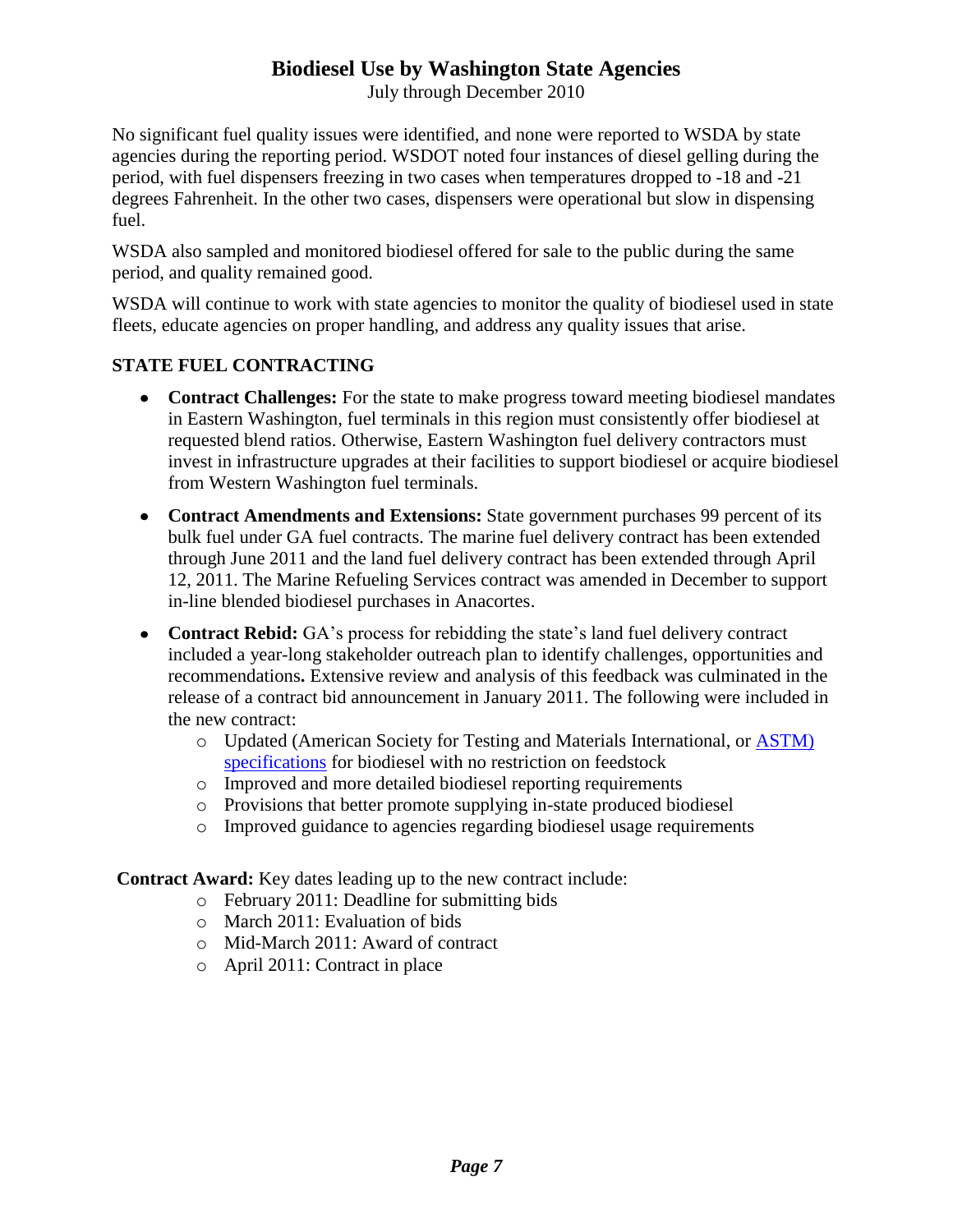July through December 2010

No significant fuel quality issues were identified, and none were reported to WSDA by state agencies during the reporting period. WSDOT noted four instances of diesel gelling during the period, with fuel dispensers freezing in two cases when temperatures dropped to -18 and -21 degrees Fahrenheit. In the other two cases, dispensers were operational but slow in dispensing fuel.

WSDA also sampled and monitored biodiesel offered for sale to the public during the same period, and quality remained good.

WSDA will continue to work with state agencies to monitor the quality of biodiesel used in state fleets, educate agencies on proper handling, and address any quality issues that arise.

#### **STATE FUEL CONTRACTING**

- **Contract Challenges:** For the state to make progress toward meeting biodiesel mandates in Eastern Washington, fuel terminals in this region must consistently offer biodiesel at requested blend ratios. Otherwise, Eastern Washington fuel delivery contractors must invest in infrastructure upgrades at their facilities to support biodiesel or acquire biodiesel from Western Washington fuel terminals.
- **Contract Amendments and Extensions:** State government purchases 99 percent of its bulk fuel under GA fuel contracts. The marine fuel delivery contract has been extended through June 2011 and the land fuel delivery contract has been extended through April 12, 2011. The Marine Refueling Services contract was amended in December to support in-line blended biodiesel purchases in Anacortes.
- **Contract Rebid:** GA's process for rebidding the state's land fuel delivery contract included a year-long stakeholder outreach plan to identify challenges, opportunities and recommendations**.** Extensive review and analysis of this feedback was culminated in the release of a contract bid announcement in January 2011. The following were included in the new contract:
	- o Updated (American Society for Testing and Materials International, or [ASTM\)](http://www.ieca.org/resources/astmstandardforec.asp) [specifications](http://www.ieca.org/resources/astmstandardforec.asp) for biodiesel with no restriction on feedstock
	- o Improved and more detailed biodiesel reporting requirements
	- o Provisions that better promote supplying in-state produced biodiesel
	- o Improved guidance to agencies regarding biodiesel usage requirements

**Contract Award:** Key dates leading up to the new contract include:

- o February 2011: Deadline for submitting bids
- o March 2011: Evaluation of bids
- o Mid-March 2011: Award of contract
- o April 2011: Contract in place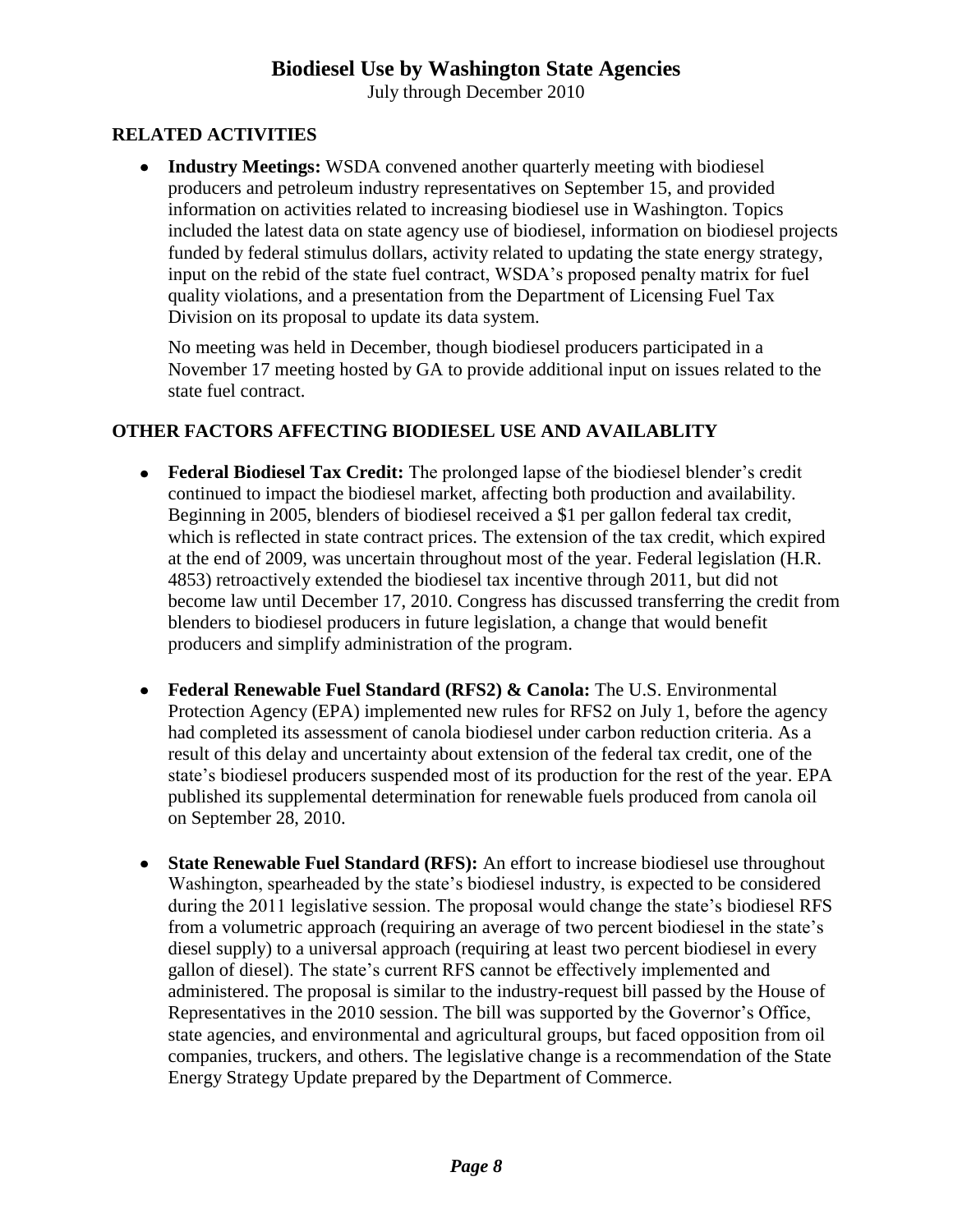July through December 2010

#### **RELATED ACTIVITIES**

**Industry Meetings:** WSDA convened another quarterly meeting with biodiesel producers and petroleum industry representatives on September 15, and provided information on activities related to increasing biodiesel use in Washington. Topics included the latest data on state agency use of biodiesel, information on biodiesel projects funded by federal stimulus dollars, activity related to updating the state energy strategy, input on the rebid of the state fuel contract, WSDA's proposed penalty matrix for fuel quality violations, and a presentation from the Department of Licensing Fuel Tax Division on its proposal to update its data system.

No meeting was held in December, though biodiesel producers participated in a November 17 meeting hosted by GA to provide additional input on issues related to the state fuel contract.

#### **OTHER FACTORS AFFECTING BIODIESEL USE AND AVAILABLITY**

- **Federal Biodiesel Tax Credit:** The prolonged lapse of the biodiesel blender's credit continued to impact the biodiesel market, affecting both production and availability. Beginning in 2005, blenders of biodiesel received a \$1 per gallon federal tax credit, which is reflected in state contract prices. The extension of the tax credit, which expired at the end of 2009, was uncertain throughout most of the year. Federal legislation (H.R. 4853) retroactively extended the biodiesel tax incentive through 2011, but did not become law until December 17, 2010. Congress has discussed transferring the credit from blenders to biodiesel producers in future legislation, a change that would benefit producers and simplify administration of the program.
- **Federal Renewable Fuel Standard (RFS2) & Canola:** The U.S. Environmental Protection Agency (EPA) implemented new rules for RFS2 on July 1, before the agency had completed its assessment of canola biodiesel under carbon reduction criteria. As a result of this delay and uncertainty about extension of the federal tax credit, one of the state's biodiesel producers suspended most of its production for the rest of the year. EPA published its supplemental determination for renewable fuels produced from canola oil on September 28, 2010.
- **State Renewable Fuel Standard (RFS):** An effort to increase biodiesel use throughout Washington, spearheaded by the state's biodiesel industry, is expected to be considered during the 2011 legislative session. The proposal would change the state's biodiesel RFS from a volumetric approach (requiring an average of two percent biodiesel in the state's diesel supply) to a universal approach (requiring at least two percent biodiesel in every gallon of diesel). The state's current RFS cannot be effectively implemented and administered. The proposal is similar to the industry-request bill passed by the House of Representatives in the 2010 session. The bill was supported by the Governor's Office, state agencies, and environmental and agricultural groups, but faced opposition from oil companies, truckers, and others. The legislative change is a recommendation of the State Energy Strategy Update prepared by the Department of Commerce.